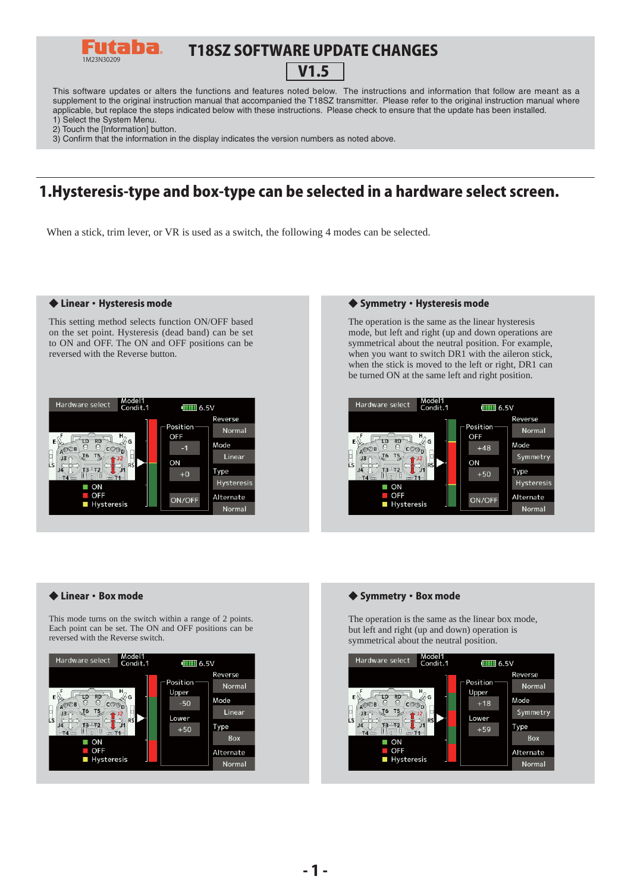

# T18SZ SOFTWARE UPDATE CHANGES

# V1.5

This software updates or alters the functions and features noted below. The instructions and information that follow are meant as a supplement to the original instruction manual that accompanied the T18SZ transmitter. Please refer to the original instruction manual where applicable, but replace the steps indicated below with these instructions. Please check to ensure that the update has been installed.

- 1) Select the System Menu.
- 2) Touch the [Information] button.

3) Confirm that the information in the display indicates the version numbers as noted above.

# 1.Hysteresis-type and box-type can be selected in a hardware select screen.

When a stick, trim lever, or VR is used as a switch, the following 4 modes can be selected.

This setting method selects function ON/OFF based on the set point. Hysteresis (dead band) can be set to ON and OFF. The ON and OFF positions can be reversed with the Reverse button.



#### ◆ Linear・Hysteresis mode ◆ Symmetry・Hysteresis mode

The operation is the same as the linear hysteresis mode, but left and right (up and down operations are symmetrical about the neutral position. For example, when you want to switch DR1 with the aileron stick, when the stick is moved to the left or right, DR1 can be turned ON at the same left and right position.



#### ◆ Linear・Box mode

This mode turns on the switch within a range of 2 points. Each point can be set. The ON and OFF positions can be reversed with the Reverse switch.



#### ◆ Symmetry · Box mode

The operation is the same as the linear box mode, but left and right (up and down) operation is symmetrical about the neutral position.

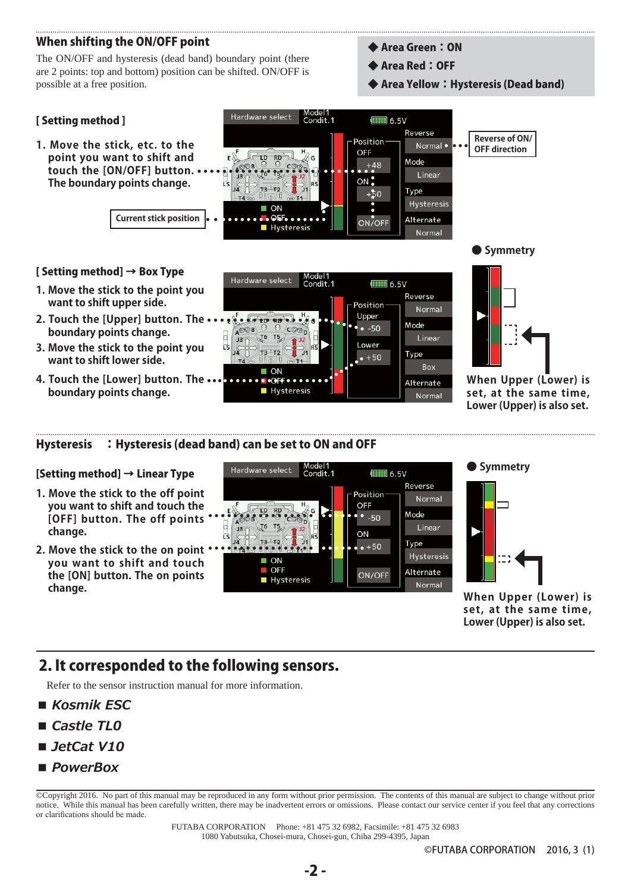# When shifting the ON/OFF point

The ON/OFF and hysteresis (dead band) boundary point (there are 2 points: top and bottom) position can be shifted. ON/OFF is possible at a free position.

- ◆ Area Green:ON
- ◆ Area Red: OFF

Box

Normal

Alternate

◆ Area Yellow:Hysteresis (Dead band)



ON  $\bullet$  OFF

**Hysteresis** 

**When Upper (Lower) is set, at the same time, Lower (Upper) is also set.**

Hysteresis :Hysteresis (dead band) can be set to ON and OFF

#### [Setting method] → Linear Type

**4. Touch the [Lower] button. The boundary points change.**

- **1. Move the stick to the off point you want to shift and touch the [OFF] button. The off points change.**
- **2. Move the stick to the on point you want to shift and touch the [ON] button. The on points change.**





**When Upper (Lower) is set, at the same time, Lower (Upper) is also set.**

# 2. It corresponded to the following sensors.

Refer to the sensor instruction manual for more information.

- *Kosmik FSC*
- Castle TL<sub>0</sub>
- *JetCat V10*
- *PowerBox*

©Copyright 2016. No part of this manual may be reproduced in any form without prior permission. The contents of this manual are subject to change without prior notice. While this manual has been carefully written, there may be inadvertent errors or omissions. Please contact our service center if you feel that any corrections or clarifications should be made.

> FUTABA CORPORATION Phone: +81 475 32 6982, Facsimile: +81 475 32 6983 1080 Yabutsuka, Chosei-mura, Chosei-gun, Chiba 299-4395, Japan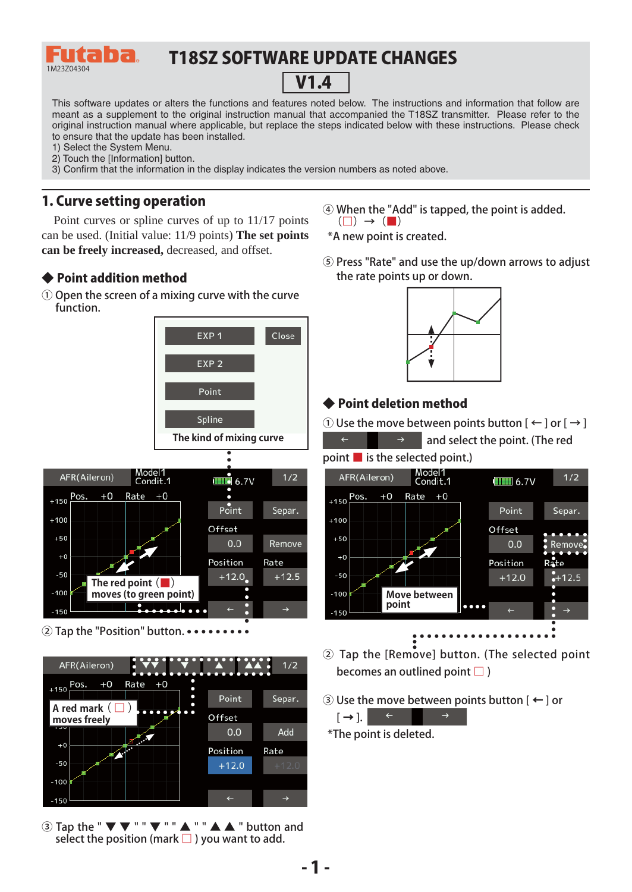

# T18SZ SOFTWARE UPDATE CHANGES



This software updates or alters the functions and features noted below. The instructions and information that follow are meant as a supplement to the original instruction manual that accompanied the T18SZ transmitter. Please refer to the original instruction manual where applicable, but replace the steps indicated below with these instructions. Please check to ensure that the update has been installed.

- 1) Select the System Menu.
- 2) Touch the [Information] button.
- 3) Confirm that the information in the display indicates the version numbers as noted above.

### 1. Curve setting operation

Point curves or spline curves of up to 11/17 points can be used. (Initial value: 11/9 points) **The set points can be freely increased,** decreased, and offset.

#### ◆ Point addition method

① Open the screen of a mixing curve with the curve function.



② Tap the "Position" button.



 $\overline{a}$  Tap the " $\overline{\mathbf{v}}$   $\overline{\mathbf{v}}$  "" $\overline{\mathbf{v}}$  "" $\mathbf{A}$  "" $\mathbf{A}$   $\mathbf{A}$  " button and select the position (mark  $\Box$ ) you want to add.

- ④ When the "Add" is tapped, the point is added.  $(\Box) \rightarrow (\Box)$
- \*A new point is created.
- ⑤ Press "Rate" and use the up/down arrows to adjust the rate points up or down.



#### ◆ Point deletion method

① Use the move between points button  $[$  ←  $]$  or  $[$  →  $]$ 

and select the point. (The red





- ② Tap the [Remove] button. (The selected point becomes an outlined point  $\square$ )
- ③ Use the move between points button [ ← ] or



\*The point is deleted.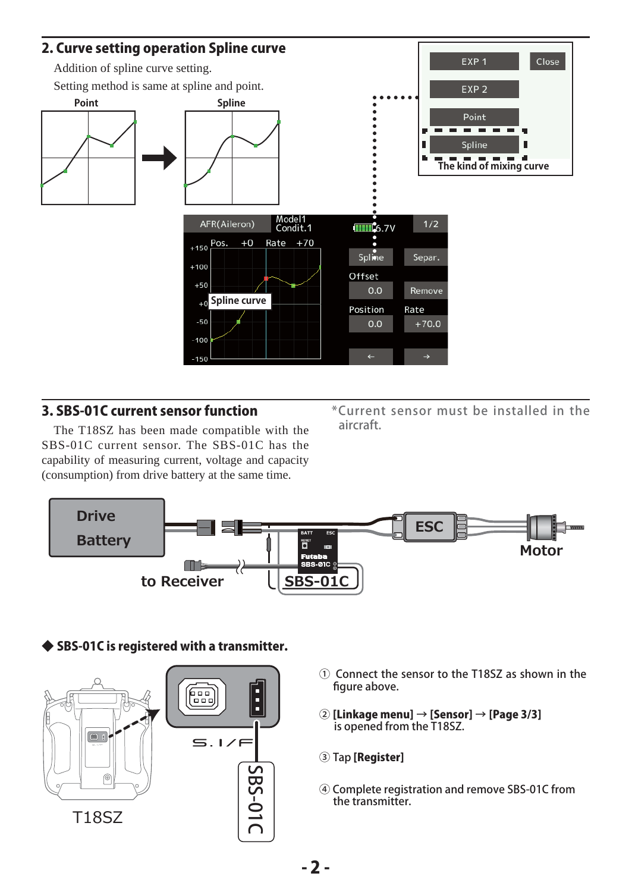

## 3. SBS-01C current sensor function

The T18SZ has been made compatible with the SBS-01C current sensor. The SBS-01C has the capability of measuring current, voltage and capacity (consumption) from drive battery at the same time.

\*Current sensor must be installed in the aircraft.



## ◆ SBS-01C is registered with a transmitter.



- ① Connect the sensor to the T18SZ as shown in the figure above.
- ② [Linkage menu] → [Sensor] → [Page 3/3] is opened from the T18SZ.
- ③ Tap [Register]
- ④ Complete registration and remove SBS-01C from the transmitter.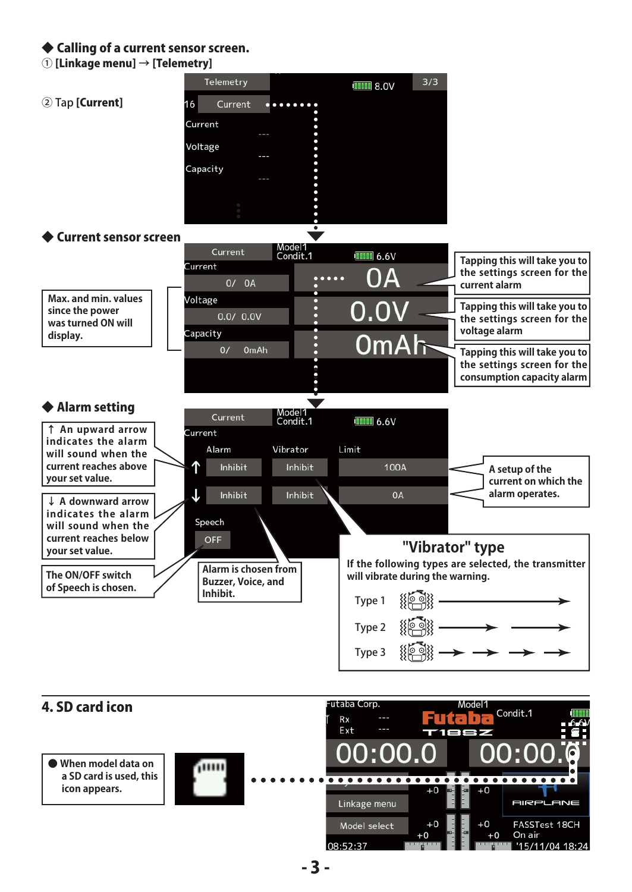#### ◆ Calling of a current sensor screen.